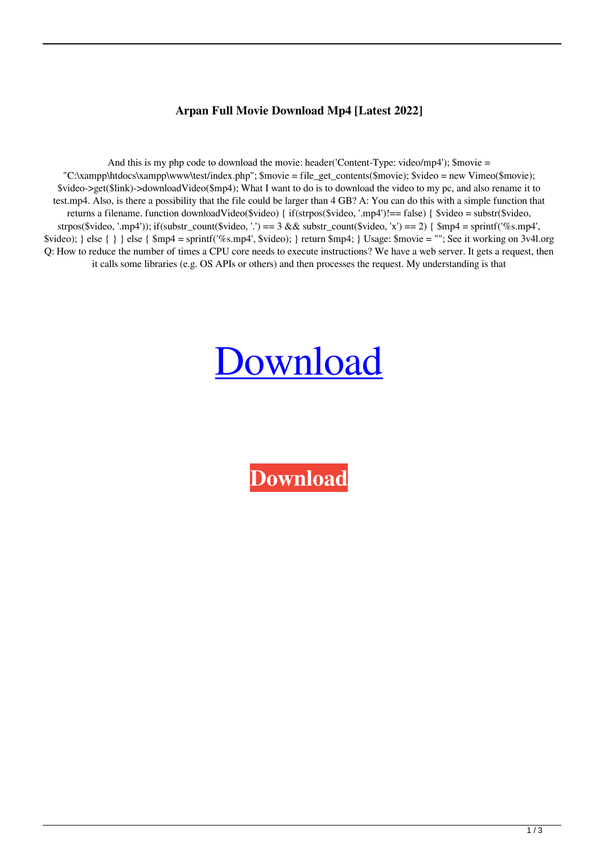## **Arpan Full Movie Download Mp4 [Latest 2022]**

And this is my php code to download the movie: header('Content-Type: video/mp4'); \$movie =  $C:\xanpp\htdocs\xamp;amp\wtest/index.php";$  \$movie = file\_get\_contents(\$movie); \$video = new Vimeo(\$movie); \$video->get(\$link)->downloadVideo(\$mp4); What I want to do is to download the video to my pc, and also rename it to test.mp4. Also, is there a possibility that the file could be larger than 4 GB? A: You can do this with a simple function that returns a filename. function downloadVideo(\$video) { if(strpos(\$video, '.mp4')!== false) { \$video = substr(\$video, strpos(\$video, '.mp4')); if(substr\_count(\$video, '.') == 3 && substr\_count(\$video, 'x') == 2) {  $\text{Smp4} = \text{spring4}'$ , \$video); } else { } } else { \$mp4 = sprintf('%s.mp4', \$video); } return \$mp4; } Usage: \$movie = ""; See it working on 3v4l.org Q: How to reduce the number of times a CPU core needs to execute instructions? We have a web server. It gets a request, then it calls some libraries (e.g. OS APIs or others) and then processes the request. My understanding is that

## [Download](http://evacdir.com/garfunkel/grating/YXJwYW4gZnVsbCBtb3ZpZSBkb3dubG9hZCBtcDQYXJ/palmpilot.comice.containers&scalene=ZG93bmxvYWR8UnowTVhVd2QzeDhNVFkxTWpRMk16QTFNSHg4TWpVM05IeDhLRTBwSUhKbFlXUXRZbXh2WnlCYlJtRnpkQ0JIUlU1ZA)

**[Download](http://evacdir.com/garfunkel/grating/YXJwYW4gZnVsbCBtb3ZpZSBkb3dubG9hZCBtcDQYXJ/palmpilot.comice.containers&scalene=ZG93bmxvYWR8UnowTVhVd2QzeDhNVFkxTWpRMk16QTFNSHg4TWpVM05IeDhLRTBwSUhKbFlXUXRZbXh2WnlCYlJtRnpkQ0JIUlU1ZA)**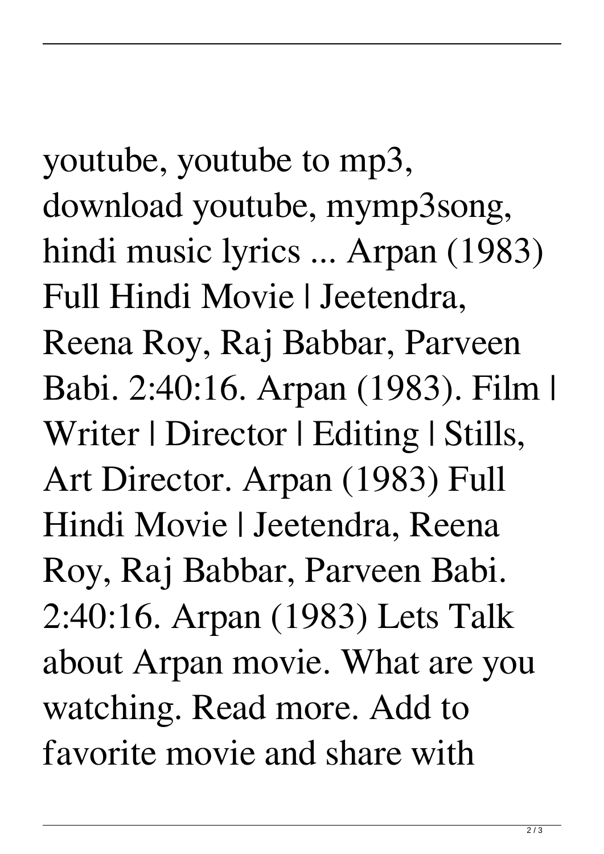youtube, youtube to mp3, download youtube, mymp3song, hindi music lyrics ... Arpan (1983) Full Hindi Movie | Jeetendra, Reena Roy, Raj Babbar, Parveen Babi. 2:40:16. Arpan (1983). Film | Writer | Director | Editing | Stills, Art Director. Arpan (1983) Full Hindi Movie | Jeetendra, Reena Roy, Raj Babbar, Parveen Babi. 2:40:16. Arpan (1983) Lets Talk about Arpan movie. What are you watching. Read more. Add to

favorite movie and share with